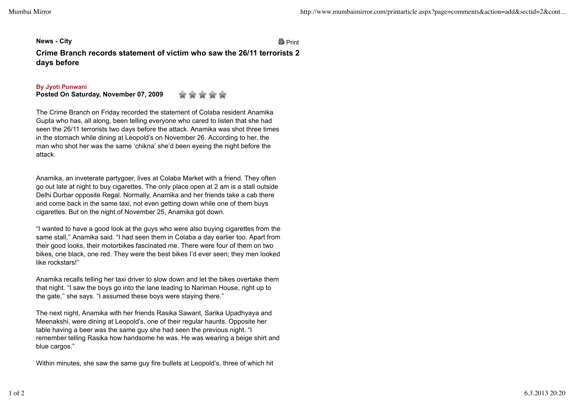**News - City** Print

**Crime Branch records statement of victim who saw the 26/11 terrorists 2 days before**

## **By Jyoti Punwani**

**Posted On Saturday, November 07, 2009**

The Crime Branch on Friday recorded the statement of Colaba resident Anamika Gupta who has, all along, been telling everyone who cared to listen that she had seen the 26/11 terrorists two days before the attack. Anamika was shot three times in the stomach while dining at Leopold's on November 26. According to her, the man who shot her was the same 'chikna' she'd been eyeing the night before the attack.

Anamika, an inveterate partygoer, lives at Colaba Market with a friend. They often go out late at night to buy cigarettes. The only place open at 2 am is a stall outside Delhi Durbar opposite Regal. Normally, Anamika and her friends take a cab there and come back in the same taxi, not even getting down while one of them buys cigarettes. But on the night of November 25, Anamika got down.

"I wanted to have a good look at the guys who were also buying cigarettes from the same stall,'' Anamika said. "I had seen them in Colaba a day earlier too. Apart from their good looks, their motorbikes fascinated me. There were four of them on two bikes, one black, one red. They were the best bikes I'd ever seen; they men looked like rockstars!''

Anamika recalls telling her taxi driver to slow down and let the bikes overtake them that night. "I saw the boys go into the lane leading to Nariman House, right up to the gate," she says. "I assumed these boys were staying there."

The next night, Anamika with her friends Rasika Sawant, Sarika Upadhyaya and Meenakshi, were dining at Leopold's, one of their regular haunts. Opposite her table having a beer was the same guy she had seen the previous night. "I remember telling Rasika how handsome he was. He was wearing a beige shirt and blue cargos."

Within minutes, she saw the same guy fire bullets at Leopold's, three of which hit